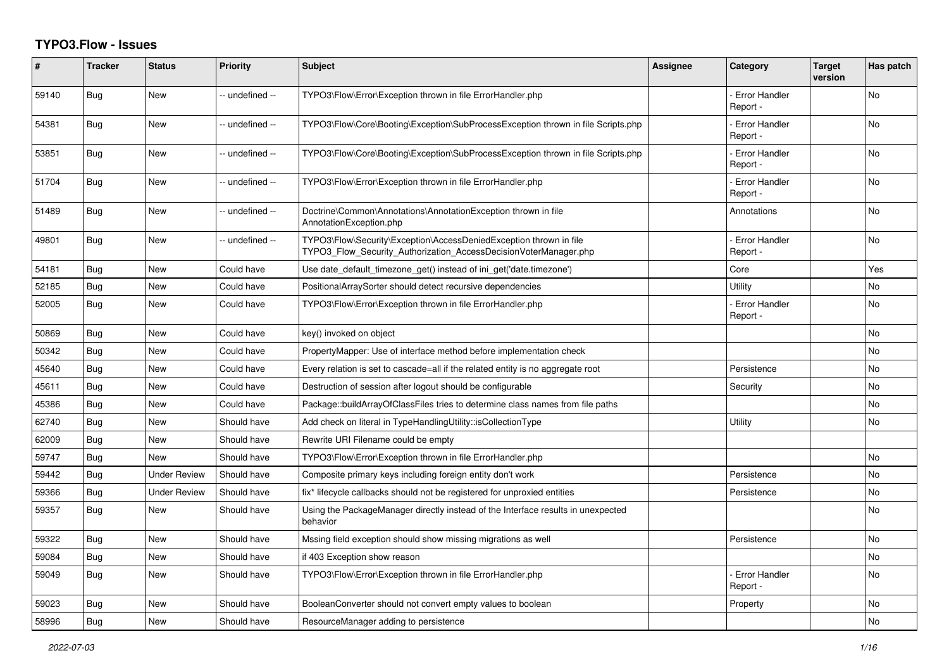## **TYPO3.Flow - Issues**

| #     | <b>Tracker</b> | <b>Status</b>       | <b>Priority</b> | <b>Subject</b>                                                                                                                         | Assignee | Category                         | Target<br>version | Has patch |
|-------|----------------|---------------------|-----------------|----------------------------------------------------------------------------------------------------------------------------------------|----------|----------------------------------|-------------------|-----------|
| 59140 | Bug            | <b>New</b>          | -- undefined -- | TYPO3\Flow\Error\Exception thrown in file ErrorHandler.php                                                                             |          | <b>Error Handler</b><br>Report - |                   | No        |
| 54381 | Bug            | <b>New</b>          | -- undefined -- | TYPO3\Flow\Core\Booting\Exception\SubProcessException thrown in file Scripts.php                                                       |          | <b>Error Handler</b><br>Report - |                   | No        |
| 53851 | Bug            | <b>New</b>          | -- undefined -- | TYPO3\Flow\Core\Booting\Exception\SubProcessException thrown in file Scripts.php                                                       |          | <b>Error Handler</b><br>Report - |                   | <b>No</b> |
| 51704 | Bug            | New                 | -- undefined -- | TYPO3\Flow\Error\Exception thrown in file ErrorHandler.php                                                                             |          | Error Handler<br>Report -        |                   | No        |
| 51489 | Bug            | New                 | -- undefined -- | Doctrine\Common\Annotations\AnnotationException thrown in file<br>AnnotationException.php                                              |          | Annotations                      |                   | <b>No</b> |
| 49801 | Bug            | New                 | -- undefined -- | TYPO3\Flow\Security\Exception\AccessDeniedException thrown in file<br>TYPO3 Flow Security Authorization AccessDecisionVoterManager.php |          | <b>Error Handler</b><br>Report - |                   | No        |
| 54181 | <b>Bug</b>     | New                 | Could have      | Use date_default_timezone_get() instead of ini_get('date.timezone')                                                                    |          | Core                             |                   | Yes       |
| 52185 | Bug            | New                 | Could have      | PositionalArraySorter should detect recursive dependencies                                                                             |          | Utility                          |                   | No        |
| 52005 | Bug            | New                 | Could have      | TYPO3\Flow\Error\Exception thrown in file ErrorHandler.php                                                                             |          | Error Handler<br>Report -        |                   | No        |
| 50869 | <b>Bug</b>     | <b>New</b>          | Could have      | key() invoked on object                                                                                                                |          |                                  |                   | <b>No</b> |
| 50342 | Bug            | New                 | Could have      | PropertyMapper: Use of interface method before implementation check                                                                    |          |                                  |                   | No        |
| 45640 | Bug            | <b>New</b>          | Could have      | Every relation is set to cascade=all if the related entity is no aggregate root                                                        |          | Persistence                      |                   | No        |
| 45611 | <b>Bug</b>     | <b>New</b>          | Could have      | Destruction of session after logout should be configurable                                                                             |          | Security                         |                   | No        |
| 45386 | <b>Bug</b>     | <b>New</b>          | Could have      | Package::buildArrayOfClassFiles tries to determine class names from file paths                                                         |          |                                  |                   | No        |
| 62740 | Bug            | <b>New</b>          | Should have     | Add check on literal in TypeHandlingUtility::isCollectionType                                                                          |          | Utility                          |                   | No        |
| 62009 | <b>Bug</b>     | <b>New</b>          | Should have     | Rewrite URI Filename could be empty                                                                                                    |          |                                  |                   |           |
| 59747 | Bug            | <b>New</b>          | Should have     | TYPO3\Flow\Error\Exception thrown in file ErrorHandler.php                                                                             |          |                                  |                   | <b>No</b> |
| 59442 | Bug            | Under Review        | Should have     | Composite primary keys including foreign entity don't work                                                                             |          | Persistence                      |                   | <b>No</b> |
| 59366 | Bug            | <b>Under Review</b> | Should have     | fix* lifecycle callbacks should not be registered for unproxied entities                                                               |          | Persistence                      |                   | No        |
| 59357 | Bug            | New                 | Should have     | Using the PackageManager directly instead of the Interface results in unexpected<br>behavior                                           |          |                                  |                   | No        |
| 59322 | Bug            | <b>New</b>          | Should have     | Mssing field exception should show missing migrations as well                                                                          |          | Persistence                      |                   | <b>No</b> |
| 59084 | <b>Bug</b>     | <b>New</b>          | Should have     | if 403 Exception show reason                                                                                                           |          |                                  |                   | No        |
| 59049 | Bug            | <b>New</b>          | Should have     | TYPO3\Flow\Error\Exception thrown in file ErrorHandler.php                                                                             |          | <b>Error Handler</b><br>Report - |                   | No        |
| 59023 | <b>Bug</b>     | <b>New</b>          | Should have     | BooleanConverter should not convert empty values to boolean                                                                            |          | Property                         |                   | No        |
| 58996 | <b>Bug</b>     | New                 | Should have     | ResourceManager adding to persistence                                                                                                  |          |                                  |                   | No        |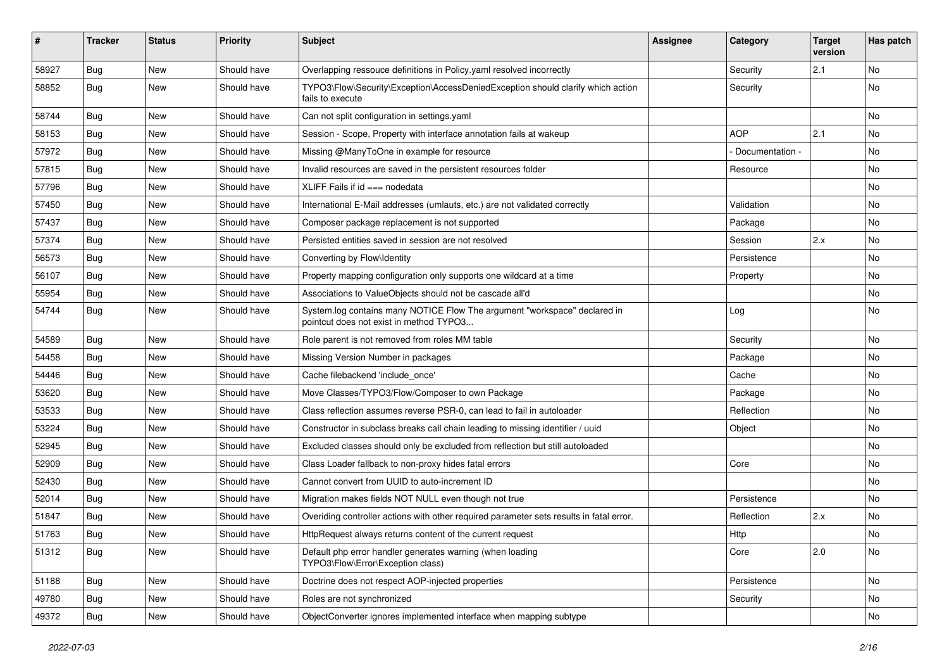| ∦     | <b>Tracker</b> | <b>Status</b> | <b>Priority</b> | <b>Subject</b>                                                                                                       | <b>Assignee</b> | Category        | <b>Target</b><br>version | Has patch |
|-------|----------------|---------------|-----------------|----------------------------------------------------------------------------------------------------------------------|-----------------|-----------------|--------------------------|-----------|
| 58927 | Bug            | New           | Should have     | Overlapping ressouce definitions in Policy.yaml resolved incorrectly                                                 |                 | Security        | 2.1                      | <b>No</b> |
| 58852 | <b>Bug</b>     | <b>New</b>    | Should have     | TYPO3\Flow\Security\Exception\AccessDeniedException should clarify which action<br>fails to execute                  |                 | Security        |                          | No        |
| 58744 | Bug            | New           | Should have     | Can not split configuration in settings.yaml                                                                         |                 |                 |                          | No        |
| 58153 | <b>Bug</b>     | <b>New</b>    | Should have     | Session - Scope, Property with interface annotation fails at wakeup                                                  |                 | <b>AOP</b>      | 2.1                      | <b>No</b> |
| 57972 | <b>Bug</b>     | New           | Should have     | Missing @ManyToOne in example for resource                                                                           |                 | Documentation - |                          | <b>No</b> |
| 57815 | Bug            | New           | Should have     | Invalid resources are saved in the persistent resources folder                                                       |                 | Resource        |                          | No        |
| 57796 | Bug            | New           | Should have     | XLIFF Fails if $id ==$ nodedata                                                                                      |                 |                 |                          | No        |
| 57450 | Bug            | New           | Should have     | International E-Mail addresses (umlauts, etc.) are not validated correctly                                           |                 | Validation      |                          | No        |
| 57437 | Bug            | New           | Should have     | Composer package replacement is not supported                                                                        |                 | Package         |                          | No        |
| 57374 | <b>Bug</b>     | New           | Should have     | Persisted entities saved in session are not resolved                                                                 |                 | Session         | 2.x                      | No        |
| 56573 | Bug            | <b>New</b>    | Should have     | Converting by Flow\Identity                                                                                          |                 | Persistence     |                          | No        |
| 56107 | <b>Bug</b>     | New           | Should have     | Property mapping configuration only supports one wildcard at a time                                                  |                 | Property        |                          | No        |
| 55954 | Bug            | <b>New</b>    | Should have     | Associations to ValueObjects should not be cascade all'd                                                             |                 |                 |                          | <b>No</b> |
| 54744 | <b>Bug</b>     | New           | Should have     | System.log contains many NOTICE Flow The argument "workspace" declared in<br>pointcut does not exist in method TYPO3 |                 | Log             |                          | No        |
| 54589 | Bug            | New           | Should have     | Role parent is not removed from roles MM table                                                                       |                 | Security        |                          | No        |
| 54458 | Bug            | <b>New</b>    | Should have     | Missing Version Number in packages                                                                                   |                 | Package         |                          | No        |
| 54446 | Bug            | New           | Should have     | Cache filebackend 'include once'                                                                                     |                 | Cache           |                          | No        |
| 53620 | Bug            | New           | Should have     | Move Classes/TYPO3/Flow/Composer to own Package                                                                      |                 | Package         |                          | No        |
| 53533 | Bug            | New           | Should have     | Class reflection assumes reverse PSR-0, can lead to fail in autoloader                                               |                 | Reflection      |                          | No        |
| 53224 | Bug            | New           | Should have     | Constructor in subclass breaks call chain leading to missing identifier / uuid                                       |                 | Object          |                          | No        |
| 52945 | <b>Bug</b>     | <b>New</b>    | Should have     | Excluded classes should only be excluded from reflection but still autoloaded                                        |                 |                 |                          | No        |
| 52909 | <b>Bug</b>     | New           | Should have     | Class Loader fallback to non-proxy hides fatal errors                                                                |                 | Core            |                          | No        |
| 52430 | <b>Bug</b>     | <b>New</b>    | Should have     | Cannot convert from UUID to auto-increment ID                                                                        |                 |                 |                          | No        |
| 52014 | <b>Bug</b>     | New           | Should have     | Migration makes fields NOT NULL even though not true                                                                 |                 | Persistence     |                          | No        |
| 51847 | <b>Bug</b>     | <b>New</b>    | Should have     | Overiding controller actions with other required parameter sets results in fatal error.                              |                 | Reflection      | 2.x                      | No        |
| 51763 | Bug            | New           | Should have     | HttpRequest always returns content of the current request                                                            |                 | Http            |                          | No        |
| 51312 | Bug            | New           | Should have     | Default php error handler generates warning (when loading<br>TYPO3\Flow\Error\Exception class)                       |                 | Core            | 2.0                      | No        |
| 51188 | Bug            | New           | Should have     | Doctrine does not respect AOP-injected properties                                                                    |                 | Persistence     |                          | No        |
| 49780 | <b>Bug</b>     | New           | Should have     | Roles are not synchronized                                                                                           |                 | Security        |                          | No        |
| 49372 | Bug            | New           | Should have     | ObjectConverter ignores implemented interface when mapping subtype                                                   |                 |                 |                          | No        |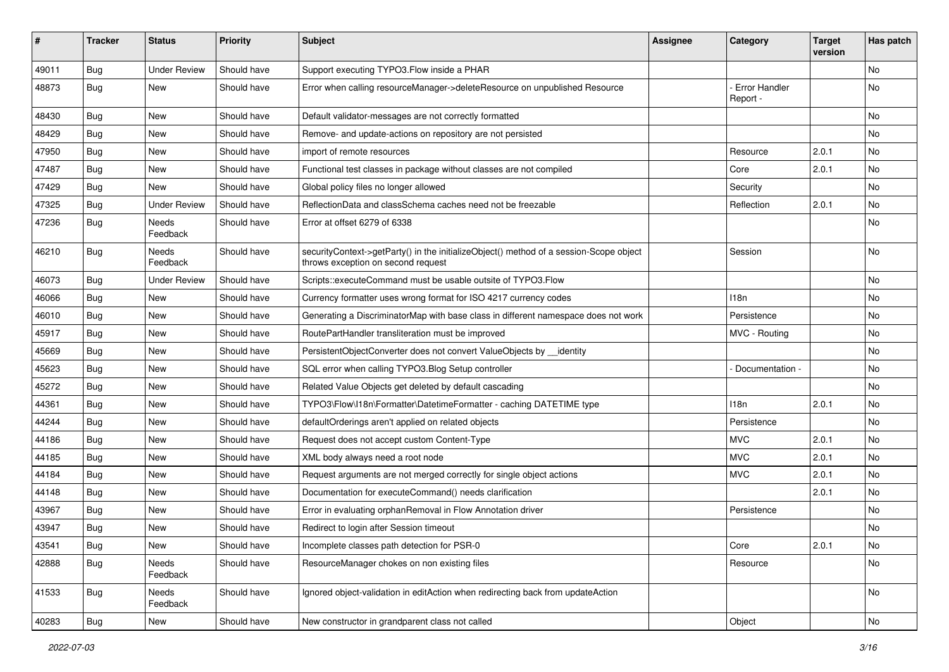| #     | <b>Tracker</b> | <b>Status</b>       | <b>Priority</b> | <b>Subject</b>                                                                                                               | <b>Assignee</b> | Category                  | <b>Target</b><br>version | Has patch |
|-------|----------------|---------------------|-----------------|------------------------------------------------------------------------------------------------------------------------------|-----------------|---------------------------|--------------------------|-----------|
| 49011 | Bug            | <b>Under Review</b> | Should have     | Support executing TYPO3.Flow inside a PHAR                                                                                   |                 |                           |                          | <b>No</b> |
| 48873 | <b>Bug</b>     | New                 | Should have     | Error when calling resourceManager->deleteResource on unpublished Resource                                                   |                 | Error Handler<br>Report - |                          | No        |
| 48430 | Bug            | <b>New</b>          | Should have     | Default validator-messages are not correctly formatted                                                                       |                 |                           |                          | <b>No</b> |
| 48429 | <b>Bug</b>     | New                 | Should have     | Remove- and update-actions on repository are not persisted                                                                   |                 |                           |                          | No        |
| 47950 | <b>Bug</b>     | <b>New</b>          | Should have     | import of remote resources                                                                                                   |                 | Resource                  | 2.0.1                    | <b>No</b> |
| 47487 | <b>Bug</b>     | New                 | Should have     | Functional test classes in package without classes are not compiled                                                          |                 | Core                      | 2.0.1                    | No        |
| 47429 | <b>Bug</b>     | New                 | Should have     | Global policy files no longer allowed                                                                                        |                 | Security                  |                          | <b>No</b> |
| 47325 | <b>Bug</b>     | <b>Under Review</b> | Should have     | ReflectionData and classSchema caches need not be freezable                                                                  |                 | Reflection                | 2.0.1                    | No        |
| 47236 | Bug            | Needs<br>Feedback   | Should have     | Error at offset 6279 of 6338                                                                                                 |                 |                           |                          | No        |
| 46210 | <b>Bug</b>     | Needs<br>Feedback   | Should have     | securityContext->getParty() in the initializeObject() method of a session-Scope object<br>throws exception on second request |                 | Session                   |                          | <b>No</b> |
| 46073 | <b>Bug</b>     | <b>Under Review</b> | Should have     | Scripts::executeCommand must be usable outsite of TYPO3.Flow                                                                 |                 |                           |                          | <b>No</b> |
| 46066 | <b>Bug</b>     | New                 | Should have     | Currency formatter uses wrong format for ISO 4217 currency codes                                                             |                 | 118n                      |                          | No        |
| 46010 | <b>Bug</b>     | New                 | Should have     | Generating a DiscriminatorMap with base class in different namespace does not work                                           |                 | Persistence               |                          | No        |
| 45917 | <b>Bug</b>     | New                 | Should have     | RoutePartHandler transliteration must be improved                                                                            |                 | MVC - Routing             |                          | No        |
| 45669 | <b>Bug</b>     | New                 | Should have     | PersistentObjectConverter does not convert ValueObjects by identity                                                          |                 |                           |                          | <b>No</b> |
| 45623 | <b>Bug</b>     | New                 | Should have     | SQL error when calling TYPO3.Blog Setup controller                                                                           |                 | Documentation -           |                          | No        |
| 45272 | <b>Bug</b>     | New                 | Should have     | Related Value Objects get deleted by default cascading                                                                       |                 |                           |                          | No        |
| 44361 | Bug            | New                 | Should have     | TYPO3\Flow\I18n\Formatter\DatetimeFormatter - caching DATETIME type                                                          |                 | 118 <sub>n</sub>          | 2.0.1                    | No        |
| 44244 | Bug            | New                 | Should have     | defaultOrderings aren't applied on related objects                                                                           |                 | Persistence               |                          | No        |
| 44186 | <b>Bug</b>     | New                 | Should have     | Request does not accept custom Content-Type                                                                                  |                 | <b>MVC</b>                | 2.0.1                    | No.       |
| 44185 | Bug            | New                 | Should have     | XML body always need a root node                                                                                             |                 | <b>MVC</b>                | 2.0.1                    | No        |
| 44184 | <b>Bug</b>     | New                 | Should have     | Request arguments are not merged correctly for single object actions                                                         |                 | <b>MVC</b>                | 2.0.1                    | No        |
| 44148 | <b>Bug</b>     | New                 | Should have     | Documentation for executeCommand() needs clarification                                                                       |                 |                           | 2.0.1                    | No        |
| 43967 | <b>Bug</b>     | New                 | Should have     | Error in evaluating orphanRemoval in Flow Annotation driver                                                                  |                 | Persistence               |                          | <b>No</b> |
| 43947 | <b>Bug</b>     | New                 | Should have     | Redirect to login after Session timeout                                                                                      |                 |                           |                          | No        |
| 43541 | Bug            | New                 | Should have     | Incomplete classes path detection for PSR-0                                                                                  |                 | Core                      | 2.0.1                    | No        |
| 42888 | <b>Bug</b>     | Needs<br>Feedback   | Should have     | ResourceManager chokes on non existing files                                                                                 |                 | Resource                  |                          | No        |
| 41533 | Bug            | Needs<br>Feedback   | Should have     | Ignored object-validation in editAction when redirecting back from updateAction                                              |                 |                           |                          | No        |
| 40283 | <b>Bug</b>     | New                 | Should have     | New constructor in grandparent class not called                                                                              |                 | Object                    |                          | No        |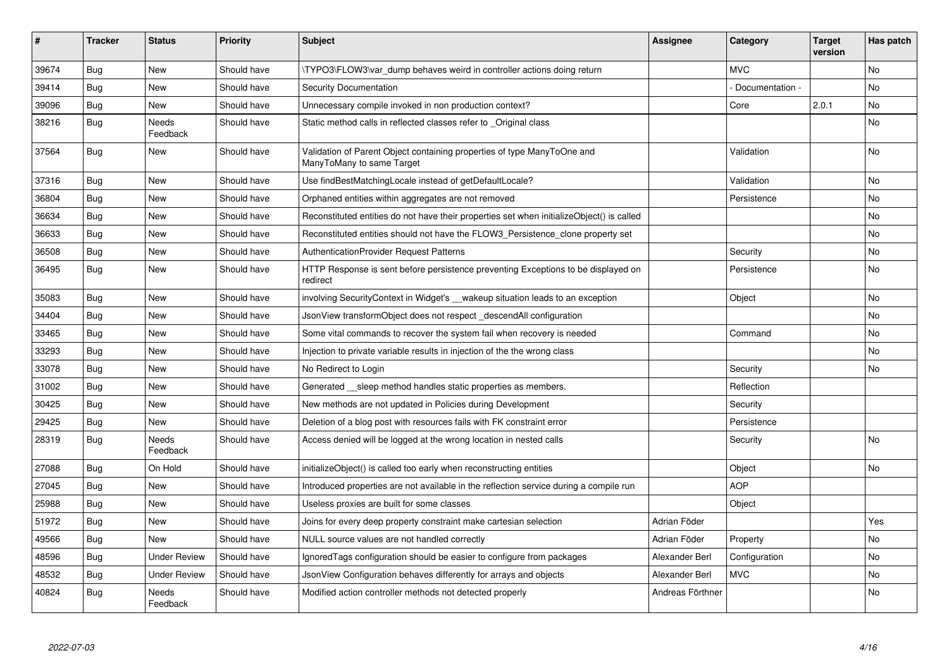| $\vert$ # | <b>Tracker</b> | <b>Status</b>            | <b>Priority</b> | <b>Subject</b>                                                                                       | <b>Assignee</b>  | Category        | <b>Target</b><br>version | Has patch |
|-----------|----------------|--------------------------|-----------------|------------------------------------------------------------------------------------------------------|------------------|-----------------|--------------------------|-----------|
| 39674     | Bug            | <b>New</b>               | Should have     | TYPO3\FLOW3\var dump behaves weird in controller actions doing return                                |                  | <b>MVC</b>      |                          | <b>No</b> |
| 39414     | Bug            | <b>New</b>               | Should have     | <b>Security Documentation</b>                                                                        |                  | Documentation - |                          | No        |
| 39096     | Bug            | <b>New</b>               | Should have     | Unnecessary compile invoked in non production context?                                               |                  | Core            | 2.0.1                    | No        |
| 38216     | Bug            | <b>Needs</b><br>Feedback | Should have     | Static method calls in reflected classes refer to Original class                                     |                  |                 |                          | No        |
| 37564     | Bug            | <b>New</b>               | Should have     | Validation of Parent Object containing properties of type ManyToOne and<br>ManyToMany to same Target |                  | Validation      |                          | No        |
| 37316     | <b>Bug</b>     | <b>New</b>               | Should have     | Use findBestMatchingLocale instead of getDefaultLocale?                                              |                  | Validation      |                          | No        |
| 36804     | <b>Bug</b>     | <b>New</b>               | Should have     | Orphaned entities within aggregates are not removed                                                  |                  | Persistence     |                          | <b>No</b> |
| 36634     | Bug            | <b>New</b>               | Should have     | Reconstituted entities do not have their properties set when initializeObject() is called            |                  |                 |                          | No        |
| 36633     | Bug            | <b>New</b>               | Should have     | Reconstituted entities should not have the FLOW3 Persistence clone property set                      |                  |                 |                          | <b>No</b> |
| 36508     | Bug            | <b>New</b>               | Should have     | AuthenticationProvider Request Patterns                                                              |                  | Security        |                          | No        |
| 36495     | Bug            | <b>New</b>               | Should have     | HTTP Response is sent before persistence preventing Exceptions to be displayed on<br>redirect        |                  | Persistence     |                          | <b>No</b> |
| 35083     | Bug            | <b>New</b>               | Should have     | involving SecurityContext in Widget's __ wakeup situation leads to an exception                      |                  | Object          |                          | <b>No</b> |
| 34404     | Bug            | <b>New</b>               | Should have     | JsonView transformObject does not respect _descendAll configuration                                  |                  |                 |                          | <b>No</b> |
| 33465     | Bug            | <b>New</b>               | Should have     | Some vital commands to recover the system fail when recovery is needed                               |                  | Command         |                          | <b>No</b> |
| 33293     | Bug            | <b>New</b>               | Should have     | Injection to private variable results in injection of the the wrong class                            |                  |                 |                          | <b>No</b> |
| 33078     | Bug            | <b>New</b>               | Should have     | No Redirect to Login                                                                                 |                  | Security        |                          | No        |
| 31002     | <b>Bug</b>     | New                      | Should have     | Generated sleep method handles static properties as members.                                         |                  | Reflection      |                          |           |
| 30425     | Bug            | <b>New</b>               | Should have     | New methods are not updated in Policies during Development                                           |                  | Security        |                          |           |
| 29425     | Bug            | <b>New</b>               | Should have     | Deletion of a blog post with resources fails with FK constraint error                                |                  | Persistence     |                          |           |
| 28319     | Bug            | <b>Needs</b><br>Feedback | Should have     | Access denied will be logged at the wrong location in nested calls                                   |                  | Security        |                          | <b>No</b> |
| 27088     | Bug            | On Hold                  | Should have     | initializeObject() is called too early when reconstructing entities                                  |                  | Object          |                          | No        |
| 27045     | <b>Bug</b>     | <b>New</b>               | Should have     | Introduced properties are not available in the reflection service during a compile run               |                  | <b>AOP</b>      |                          |           |
| 25988     | Bug            | <b>New</b>               | Should have     | Useless proxies are built for some classes                                                           |                  | Object          |                          |           |
| 51972     | Bug            | New                      | Should have     | Joins for every deep property constraint make cartesian selection                                    | Adrian Föder     |                 |                          | Yes       |
| 49566     | <b>Bug</b>     | <b>New</b>               | Should have     | NULL source values are not handled correctly                                                         | Adrian Föder     | Property        |                          | <b>No</b> |
| 48596     | Bug            | <b>Under Review</b>      | Should have     | IgnoredTags configuration should be easier to configure from packages                                | Alexander Berl   | Configuration   |                          | <b>No</b> |
| 48532     | Bug            | <b>Under Review</b>      | Should have     | JsonView Configuration behaves differently for arrays and objects                                    | Alexander Berl   | <b>MVC</b>      |                          | <b>No</b> |
| 40824     | Bug            | Needs<br>Feedback        | Should have     | Modified action controller methods not detected properly                                             | Andreas Förthner |                 |                          | <b>No</b> |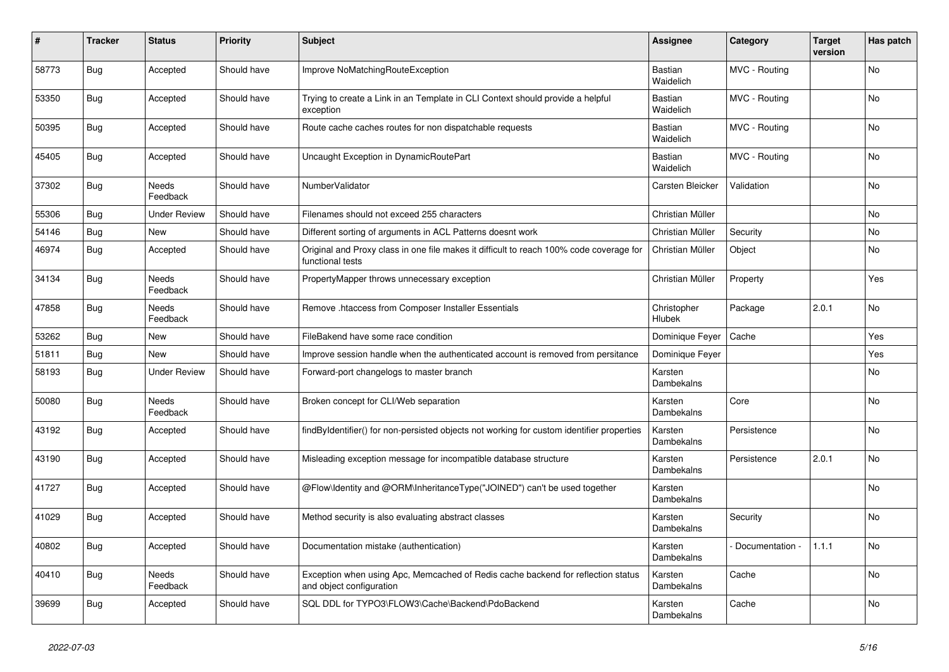| #     | <b>Tracker</b> | <b>Status</b>            | <b>Priority</b> | <b>Subject</b>                                                                                               | Assignee              | Category        | <b>Target</b><br>version | Has patch |
|-------|----------------|--------------------------|-----------------|--------------------------------------------------------------------------------------------------------------|-----------------------|-----------------|--------------------------|-----------|
| 58773 | <b>Bug</b>     | Accepted                 | Should have     | Improve NoMatchingRouteException                                                                             | Bastian<br>Waidelich  | MVC - Routing   |                          | No        |
| 53350 | Bug            | Accepted                 | Should have     | Trying to create a Link in an Template in CLI Context should provide a helpful<br>exception                  | Bastian<br>Waidelich  | MVC - Routing   |                          | <b>No</b> |
| 50395 | Bug            | Accepted                 | Should have     | Route cache caches routes for non dispatchable requests                                                      | Bastian<br>Waidelich  | MVC - Routing   |                          | No        |
| 45405 | Bug            | Accepted                 | Should have     | Uncaught Exception in DynamicRoutePart                                                                       | Bastian<br>Waidelich  | MVC - Routing   |                          | No        |
| 37302 | Bug            | <b>Needs</b><br>Feedback | Should have     | NumberValidator                                                                                              | Carsten Bleicker      | Validation      |                          | <b>No</b> |
| 55306 | Bug            | <b>Under Review</b>      | Should have     | Filenames should not exceed 255 characters                                                                   | Christian Müller      |                 |                          | <b>No</b> |
| 54146 | Bug            | New                      | Should have     | Different sorting of arguments in ACL Patterns doesnt work                                                   | Christian Müller      | Security        |                          | No        |
| 46974 | <b>Bug</b>     | Accepted                 | Should have     | Original and Proxy class in one file makes it difficult to reach 100% code coverage for<br>functional tests  | Christian Müller      | Object          |                          | No        |
| 34134 | Bug            | Needs<br>Feedback        | Should have     | PropertyMapper throws unnecessary exception                                                                  | Christian Müller      | Property        |                          | Yes       |
| 47858 | Bug            | Needs<br>Feedback        | Should have     | Remove .htaccess from Composer Installer Essentials                                                          | Christopher<br>Hlubek | Package         | 2.0.1                    | No        |
| 53262 | <b>Bug</b>     | New                      | Should have     | FileBakend have some race condition                                                                          | Dominique Feyer       | Cache           |                          | Yes       |
| 51811 | <b>Bug</b>     | New                      | Should have     | Improve session handle when the authenticated account is removed from persitance                             | Dominique Feyer       |                 |                          | Yes       |
| 58193 | <b>Bug</b>     | <b>Under Review</b>      | Should have     | Forward-port changelogs to master branch                                                                     | Karsten<br>Dambekalns |                 |                          | No        |
| 50080 | <b>Bug</b>     | Needs<br>Feedback        | Should have     | Broken concept for CLI/Web separation                                                                        | Karsten<br>Dambekalns | Core            |                          | No        |
| 43192 | Bug            | Accepted                 | Should have     | findByIdentifier() for non-persisted objects not working for custom identifier properties                    | Karsten<br>Dambekalns | Persistence     |                          | <b>No</b> |
| 43190 | Bug            | Accepted                 | Should have     | Misleading exception message for incompatible database structure                                             | Karsten<br>Dambekalns | Persistence     | 2.0.1                    | No        |
| 41727 | <b>Bug</b>     | Accepted                 | Should have     | @Flow\Identity and @ORM\InheritanceType("JOINED") can't be used together                                     | Karsten<br>Dambekalns |                 |                          | No        |
| 41029 | <b>Bug</b>     | Accepted                 | Should have     | Method security is also evaluating abstract classes                                                          | Karsten<br>Dambekalns | Security        |                          | <b>No</b> |
| 40802 | <b>Bug</b>     | Accepted                 | Should have     | Documentation mistake (authentication)                                                                       | Karsten<br>Dambekalns | Documentation - | 1.1.1                    | No        |
| 40410 | Bug            | Needs<br>Feedback        | Should have     | Exception when using Apc, Memcached of Redis cache backend for reflection status<br>and object configuration | Karsten<br>Dambekalns | Cache           |                          | No        |
| 39699 | Bug            | Accepted                 | Should have     | SQL DDL for TYPO3\FLOW3\Cache\Backend\PdoBackend                                                             | Karsten<br>Dambekalns | Cache           |                          | No        |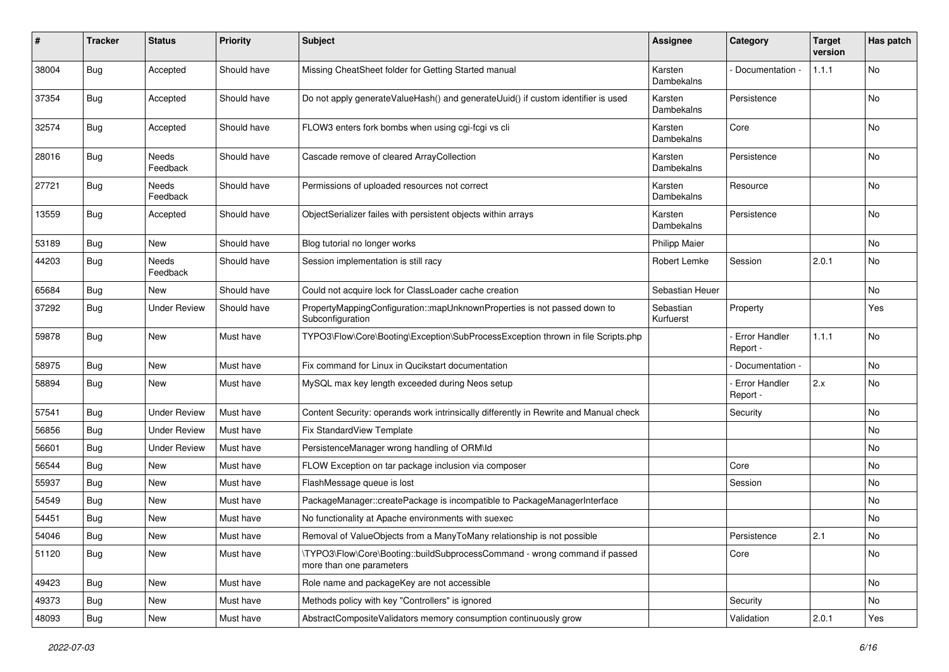| #     | Tracker    | <b>Status</b>       | <b>Priority</b> | <b>Subject</b>                                                                                         | <b>Assignee</b>        | Category                         | <b>Target</b><br>version | Has patch |
|-------|------------|---------------------|-----------------|--------------------------------------------------------------------------------------------------------|------------------------|----------------------------------|--------------------------|-----------|
| 38004 | Bug        | Accepted            | Should have     | Missing CheatSheet folder for Getting Started manual                                                   | Karsten<br>Dambekalns  | Documentation -                  | 1.1.1                    | No        |
| 37354 | Bug        | Accepted            | Should have     | Do not apply generateValueHash() and generateUuid() if custom identifier is used                       | Karsten<br>Dambekalns  | Persistence                      |                          | No        |
| 32574 | Bug        | Accepted            | Should have     | FLOW3 enters fork bombs when using cgi-fcgi vs cli                                                     | Karsten<br>Dambekalns  | Core                             |                          | No        |
| 28016 | Bug        | Needs<br>Feedback   | Should have     | Cascade remove of cleared ArrayCollection                                                              | Karsten<br>Dambekalns  | Persistence                      |                          | No        |
| 27721 | <b>Bug</b> | Needs<br>Feedback   | Should have     | Permissions of uploaded resources not correct                                                          | Karsten<br>Dambekalns  | Resource                         |                          | No        |
| 13559 | Bug        | Accepted            | Should have     | ObjectSerializer failes with persistent objects within arrays                                          | Karsten<br>Dambekalns  | Persistence                      |                          | <b>No</b> |
| 53189 | <b>Bug</b> | New                 | Should have     | Blog tutorial no longer works                                                                          | <b>Philipp Maier</b>   |                                  |                          | No        |
| 44203 | Bug        | Needs<br>Feedback   | Should have     | Session implementation is still racy                                                                   | Robert Lemke           | Session                          | 2.0.1                    | No        |
| 65684 | Bug        | New                 | Should have     | Could not acquire lock for ClassLoader cache creation                                                  | Sebastian Heuer        |                                  |                          | No        |
| 37292 | Bug        | <b>Under Review</b> | Should have     | PropertyMappingConfiguration::mapUnknownProperties is not passed down to<br>Subconfiguration           | Sebastian<br>Kurfuerst | Property                         |                          | Yes       |
| 59878 | Bug        | New                 | Must have       | TYPO3\Flow\Core\Booting\Exception\SubProcessException thrown in file Scripts.php                       |                        | <b>Error Handler</b><br>Report - | 1.1.1                    | No        |
| 58975 | Bug        | New                 | Must have       | Fix command for Linux in Qucikstart documentation                                                      |                        | Documentation -                  |                          | No        |
| 58894 | Bug        | New                 | Must have       | MySQL max key length exceeded during Neos setup                                                        |                        | <b>Error Handler</b><br>Report - | 2.x                      | No        |
| 57541 | Bug        | <b>Under Review</b> | Must have       | Content Security: operands work intrinsically differently in Rewrite and Manual check                  |                        | Security                         |                          | No        |
| 56856 | Bug        | <b>Under Review</b> | Must have       | Fix StandardView Template                                                                              |                        |                                  |                          | No        |
| 56601 | <b>Bug</b> | <b>Under Review</b> | Must have       | PersistenceManager wrong handling of ORM\ld                                                            |                        |                                  |                          | No        |
| 56544 | Bug        | New                 | Must have       | FLOW Exception on tar package inclusion via composer                                                   |                        | Core                             |                          | No        |
| 55937 | <b>Bug</b> | <b>New</b>          | Must have       | FlashMessage queue is lost                                                                             |                        | Session                          |                          | No        |
| 54549 | Bug        | New                 | Must have       | PackageManager::createPackage is incompatible to PackageManagerInterface                               |                        |                                  |                          | No        |
| 54451 | Bug        | New                 | Must have       | No functionality at Apache environments with suexec                                                    |                        |                                  |                          | No        |
| 54046 | Bug        | New                 | Must have       | Removal of ValueObjects from a ManyToMany relationship is not possible                                 |                        | Persistence                      | 2.1                      | No        |
| 51120 | Bug        | New                 | Must have       | \TYPO3\Flow\Core\Booting::buildSubprocessCommand - wrong command if passed<br>more than one parameters |                        | Core                             |                          | No        |
| 49423 | <b>Bug</b> | New                 | Must have       | Role name and packageKey are not accessible                                                            |                        |                                  |                          | No        |
| 49373 | <b>Bug</b> | New                 | Must have       | Methods policy with key "Controllers" is ignored                                                       |                        | Security                         |                          | No        |
| 48093 | Bug        | New                 | Must have       | AbstractCompositeValidators memory consumption continuously grow                                       |                        | Validation                       | 2.0.1                    | Yes       |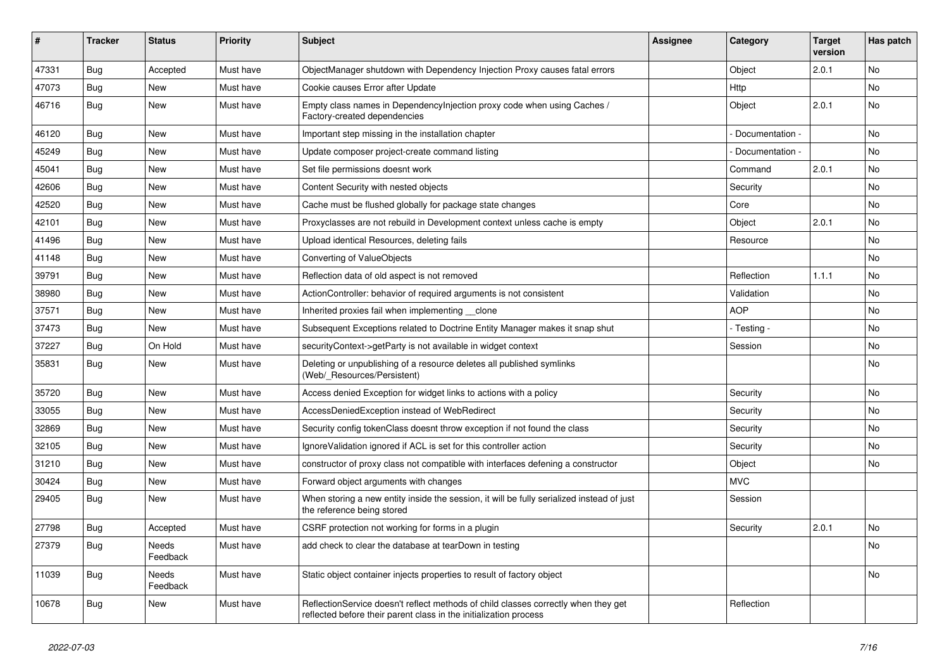| ∦     | <b>Tracker</b> | <b>Status</b>     | <b>Priority</b> | <b>Subject</b>                                                                                                                                          | <b>Assignee</b> | Category        | <b>Target</b><br>version | Has patch |
|-------|----------------|-------------------|-----------------|---------------------------------------------------------------------------------------------------------------------------------------------------------|-----------------|-----------------|--------------------------|-----------|
| 47331 | <b>Bug</b>     | Accepted          | Must have       | ObjectManager shutdown with Dependency Injection Proxy causes fatal errors                                                                              |                 | Object          | 2.0.1                    | <b>No</b> |
| 47073 | <b>Bug</b>     | New               | Must have       | Cookie causes Error after Update                                                                                                                        |                 | Http            |                          | No        |
| 46716 | Bug            | New               | Must have       | Empty class names in Dependencylniection proxy code when using Caches /<br>Factory-created dependencies                                                 |                 | Object          | 2.0.1                    | No        |
| 46120 | Bug            | <b>New</b>        | Must have       | Important step missing in the installation chapter                                                                                                      |                 | Documentation - |                          | No        |
| 45249 | <b>Bug</b>     | New               | Must have       | Update composer project-create command listing                                                                                                          |                 | Documentation - |                          | No        |
| 45041 | Bug            | <b>New</b>        | Must have       | Set file permissions doesnt work                                                                                                                        |                 | Command         | 2.0.1                    | <b>No</b> |
| 42606 | Bug            | New               | Must have       | Content Security with nested objects                                                                                                                    |                 | Security        |                          | No        |
| 42520 | Bug            | <b>New</b>        | Must have       | Cache must be flushed globally for package state changes                                                                                                |                 | Core            |                          | No        |
| 42101 | Bug            | New               | Must have       | Proxyclasses are not rebuild in Development context unless cache is empty                                                                               |                 | Object          | 2.0.1                    | No        |
| 41496 | Bug            | New               | Must have       | Upload identical Resources, deleting fails                                                                                                              |                 | Resource        |                          | No        |
| 41148 | Bug            | <b>New</b>        | Must have       | Converting of ValueObjects                                                                                                                              |                 |                 |                          | <b>No</b> |
| 39791 | Bug            | New               | Must have       | Reflection data of old aspect is not removed                                                                                                            |                 | Reflection      | 1.1.1                    | No        |
| 38980 | Bug            | New               | Must have       | ActionController: behavior of required arguments is not consistent                                                                                      |                 | Validation      |                          | No        |
| 37571 | Bug            | New               | Must have       | Inherited proxies fail when implementing clone                                                                                                          |                 | <b>AOP</b>      |                          | No        |
| 37473 | <b>Bug</b>     | New               | Must have       | Subsequent Exceptions related to Doctrine Entity Manager makes it snap shut                                                                             |                 | - Testing -     |                          | No        |
| 37227 | Bug            | On Hold           | Must have       | securityContext->getParty is not available in widget context                                                                                            |                 | Session         |                          | No        |
| 35831 | Bug            | New               | Must have       | Deleting or unpublishing of a resource deletes all published symlinks<br>(Web/_Resources/Persistent)                                                    |                 |                 |                          | No        |
| 35720 | Bug            | <b>New</b>        | Must have       | Access denied Exception for widget links to actions with a policy                                                                                       |                 | Security        |                          | <b>No</b> |
| 33055 | Bug            | New               | Must have       | AccessDeniedException instead of WebRedirect                                                                                                            |                 | Security        |                          | No        |
| 32869 | Bug            | <b>New</b>        | Must have       | Security config tokenClass doesnt throw exception if not found the class                                                                                |                 | Security        |                          | No        |
| 32105 | <b>Bug</b>     | New               | Must have       | Ignore Validation ignored if ACL is set for this controller action                                                                                      |                 | Security        |                          | No        |
| 31210 | <b>Bug</b>     | New               | Must have       | constructor of proxy class not compatible with interfaces defening a constructor                                                                        |                 | Object          |                          | No        |
| 30424 | Bug            | New               | Must have       | Forward object arguments with changes                                                                                                                   |                 | <b>MVC</b>      |                          |           |
| 29405 | <b>Bug</b>     | New               | Must have       | When storing a new entity inside the session, it will be fully serialized instead of just<br>the reference being stored                                 |                 | Session         |                          |           |
| 27798 | <b>Bug</b>     | Accepted          | Must have       | CSRF protection not working for forms in a plugin                                                                                                       |                 | Security        | 2.0.1                    | <b>No</b> |
| 27379 | Bug            | Needs<br>Feedback | Must have       | add check to clear the database at tearDown in testing                                                                                                  |                 |                 |                          | No        |
| 11039 | Bug            | Needs<br>Feedback | Must have       | Static object container injects properties to result of factory object                                                                                  |                 |                 |                          | No        |
| 10678 | <b>Bug</b>     | New               | Must have       | ReflectionService doesn't reflect methods of child classes correctly when they get<br>reflected before their parent class in the initialization process |                 | Reflection      |                          |           |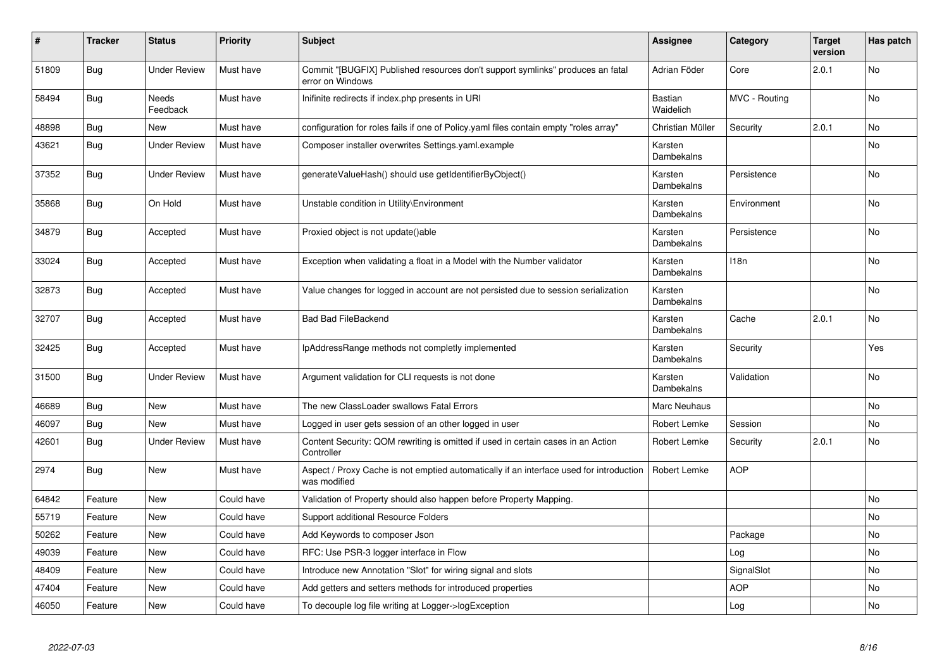| #     | <b>Tracker</b> | <b>Status</b>       | <b>Priority</b> | <b>Subject</b>                                                                                          | <b>Assignee</b>             | Category         | <b>Target</b><br>version | Has patch      |
|-------|----------------|---------------------|-----------------|---------------------------------------------------------------------------------------------------------|-----------------------------|------------------|--------------------------|----------------|
| 51809 | Bug            | <b>Under Review</b> | Must have       | Commit "[BUGFIX] Published resources don't support symlinks" produces an fatal<br>error on Windows      | Adrian Föder                | Core             | 2.0.1                    | <b>No</b>      |
| 58494 | <b>Bug</b>     | Needs<br>Feedback   | Must have       | Inifinite redirects if index.php presents in URI                                                        | <b>Bastian</b><br>Waidelich | MVC - Routing    |                          | No             |
| 48898 | <b>Bug</b>     | <b>New</b>          | Must have       | configuration for roles fails if one of Policy yaml files contain empty "roles array"                   | Christian Müller            | Security         | 2.0.1                    | No.            |
| 43621 | Bug            | <b>Under Review</b> | Must have       | Composer installer overwrites Settings.yaml.example                                                     | Karsten<br>Dambekalns       |                  |                          | <b>No</b>      |
| 37352 | Bug            | <b>Under Review</b> | Must have       | generateValueHash() should use getIdentifierByObject()                                                  | Karsten<br>Dambekalns       | Persistence      |                          | No.            |
| 35868 | <b>Bug</b>     | On Hold             | Must have       | Unstable condition in Utility\Environment                                                               | Karsten<br>Dambekalns       | Environment      |                          | <b>No</b>      |
| 34879 | <b>Bug</b>     | Accepted            | Must have       | Proxied object is not update()able                                                                      | Karsten<br>Dambekalns       | Persistence      |                          | No             |
| 33024 | <b>Bug</b>     | Accepted            | Must have       | Exception when validating a float in a Model with the Number validator                                  | Karsten<br>Dambekalns       | 118 <sub>n</sub> |                          | No             |
| 32873 | Bug            | Accepted            | Must have       | Value changes for logged in account are not persisted due to session serialization                      | Karsten<br>Dambekalns       |                  |                          | No             |
| 32707 | <b>Bug</b>     | Accepted            | Must have       | <b>Bad Bad FileBackend</b>                                                                              | Karsten<br>Dambekalns       | Cache            | 2.0.1                    | No.            |
| 32425 | Bug            | Accepted            | Must have       | IpAddressRange methods not completly implemented                                                        | Karsten<br>Dambekalns       | Security         |                          | Yes            |
| 31500 | Bug            | <b>Under Review</b> | Must have       | Argument validation for CLI requests is not done                                                        | Karsten<br>Dambekalns       | Validation       |                          | <b>No</b>      |
| 46689 | <b>Bug</b>     | <b>New</b>          | Must have       | The new ClassLoader swallows Fatal Errors                                                               | Marc Neuhaus                |                  |                          | N <sub>o</sub> |
| 46097 | Bug            | New                 | Must have       | Logged in user gets session of an other logged in user                                                  | Robert Lemke                | Session          |                          | No             |
| 42601 | <b>Bug</b>     | <b>Under Review</b> | Must have       | Content Security: QOM rewriting is omitted if used in certain cases in an Action<br>Controller          | Robert Lemke                | Security         | 2.0.1                    | No             |
| 2974  | <b>Bug</b>     | <b>New</b>          | Must have       | Aspect / Proxy Cache is not emptied automatically if an interface used for introduction<br>was modified | Robert Lemke                | <b>AOP</b>       |                          |                |
| 64842 | Feature        | New                 | Could have      | Validation of Property should also happen before Property Mapping.                                      |                             |                  |                          | No             |
| 55719 | Feature        | New                 | Could have      | Support additional Resource Folders                                                                     |                             |                  |                          | No.            |
| 50262 | Feature        | <b>New</b>          | Could have      | Add Keywords to composer Json                                                                           |                             | Package          |                          | No             |
| 49039 | Feature        | New                 | Could have      | RFC: Use PSR-3 logger interface in Flow                                                                 |                             | Log              |                          | No             |
| 48409 | Feature        | New                 | Could have      | Introduce new Annotation "Slot" for wiring signal and slots                                             |                             | SignalSlot       |                          | No             |
| 47404 | Feature        | <b>New</b>          | Could have      | Add getters and setters methods for introduced properties                                               |                             | <b>AOP</b>       |                          | No             |
| 46050 | Feature        | <b>New</b>          | Could have      | To decouple log file writing at Logger->logException                                                    |                             | Log              |                          | No             |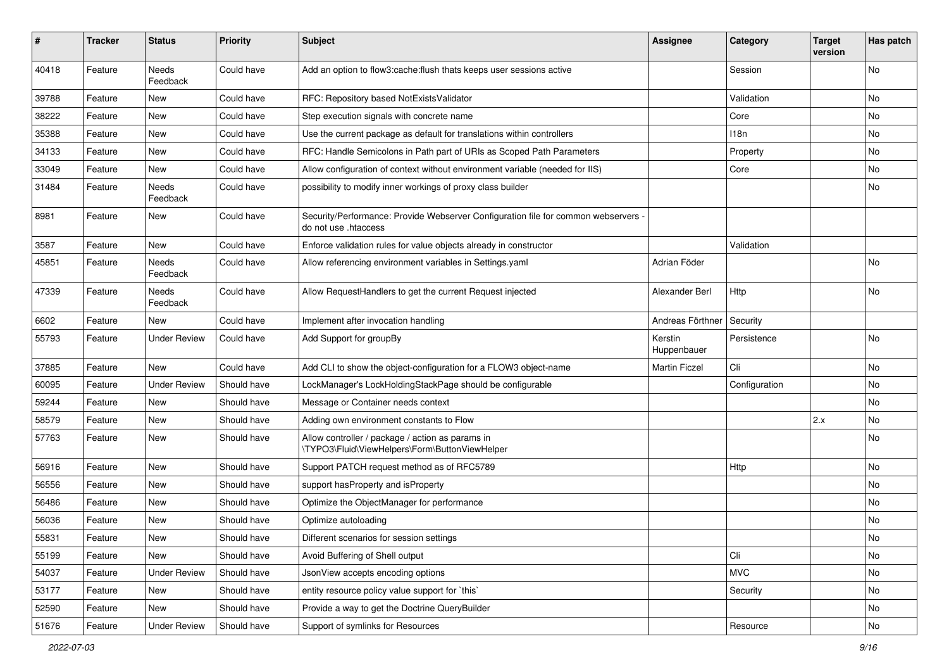| #     | <b>Tracker</b> | <b>Status</b>       | <b>Priority</b> | <b>Subject</b>                                                                                             | <b>Assignee</b>        | Category      | <b>Target</b><br>version | Has patch |
|-------|----------------|---------------------|-----------------|------------------------------------------------------------------------------------------------------------|------------------------|---------------|--------------------------|-----------|
| 40418 | Feature        | Needs<br>Feedback   | Could have      | Add an option to flow3:cache:flush thats keeps user sessions active                                        |                        | Session       |                          | No        |
| 39788 | Feature        | New                 | Could have      | RFC: Repository based NotExistsValidator                                                                   |                        | Validation    |                          | No        |
| 38222 | Feature        | <b>New</b>          | Could have      | Step execution signals with concrete name                                                                  |                        | Core          |                          | No        |
| 35388 | Feature        | New                 | Could have      | Use the current package as default for translations within controllers                                     |                        | 118n          |                          | No        |
| 34133 | Feature        | New                 | Could have      | RFC: Handle Semicolons in Path part of URIs as Scoped Path Parameters                                      |                        | Property      |                          | No        |
| 33049 | Feature        | New                 | Could have      | Allow configuration of context without environment variable (needed for IIS)                               |                        | Core          |                          | No        |
| 31484 | Feature        | Needs<br>Feedback   | Could have      | possibility to modify inner workings of proxy class builder                                                |                        |               |                          | No        |
| 8981  | Feature        | New                 | Could have      | Security/Performance: Provide Webserver Configuration file for common webservers -<br>do not use .htaccess |                        |               |                          |           |
| 3587  | Feature        | <b>New</b>          | Could have      | Enforce validation rules for value objects already in constructor                                          |                        | Validation    |                          |           |
| 45851 | Feature        | Needs<br>Feedback   | Could have      | Allow referencing environment variables in Settings.yaml                                                   | Adrian Föder           |               |                          | No        |
| 47339 | Feature        | Needs<br>Feedback   | Could have      | Allow RequestHandlers to get the current Request injected                                                  | Alexander Berl         | Http          |                          | No        |
| 6602  | Feature        | New                 | Could have      | Implement after invocation handling                                                                        | Andreas Förthner       | Security      |                          |           |
| 55793 | Feature        | <b>Under Review</b> | Could have      | Add Support for groupBy                                                                                    | Kerstin<br>Huppenbauer | Persistence   |                          | No        |
| 37885 | Feature        | New                 | Could have      | Add CLI to show the object-configuration for a FLOW3 object-name                                           | <b>Martin Ficzel</b>   | Cli           |                          | No        |
| 60095 | Feature        | <b>Under Review</b> | Should have     | LockManager's LockHoldingStackPage should be configurable                                                  |                        | Configuration |                          | No        |
| 59244 | Feature        | New                 | Should have     | Message or Container needs context                                                                         |                        |               |                          | No        |
| 58579 | Feature        | New                 | Should have     | Adding own environment constants to Flow                                                                   |                        |               | 2.x                      | No        |
| 57763 | Feature        | New                 | Should have     | Allow controller / package / action as params in<br>\TYPO3\Fluid\ViewHelpers\Form\ButtonViewHelper         |                        |               |                          | No        |
| 56916 | Feature        | New                 | Should have     | Support PATCH request method as of RFC5789                                                                 |                        | Http          |                          | No        |
| 56556 | Feature        | New                 | Should have     | support hasProperty and isProperty                                                                         |                        |               |                          | No        |
| 56486 | Feature        | New                 | Should have     | Optimize the ObjectManager for performance                                                                 |                        |               |                          | No        |
| 56036 | Feature        | New                 | Should have     | Optimize autoloading                                                                                       |                        |               |                          | No        |
| 55831 | Feature        | New                 | Should have     | Different scenarios for session settings                                                                   |                        |               |                          | INO.      |
| 55199 | Feature        | New                 | Should have     | Avoid Buffering of Shell output                                                                            |                        | Cli           |                          | No        |
| 54037 | Feature        | <b>Under Review</b> | Should have     | JsonView accepts encoding options                                                                          |                        | <b>MVC</b>    |                          | No        |
| 53177 | Feature        | New                 | Should have     | entity resource policy value support for `this`                                                            |                        | Security      |                          | No        |
| 52590 | Feature        | New                 | Should have     | Provide a way to get the Doctrine QueryBuilder                                                             |                        |               |                          | No        |
| 51676 | Feature        | <b>Under Review</b> | Should have     | Support of symlinks for Resources                                                                          |                        | Resource      |                          | No        |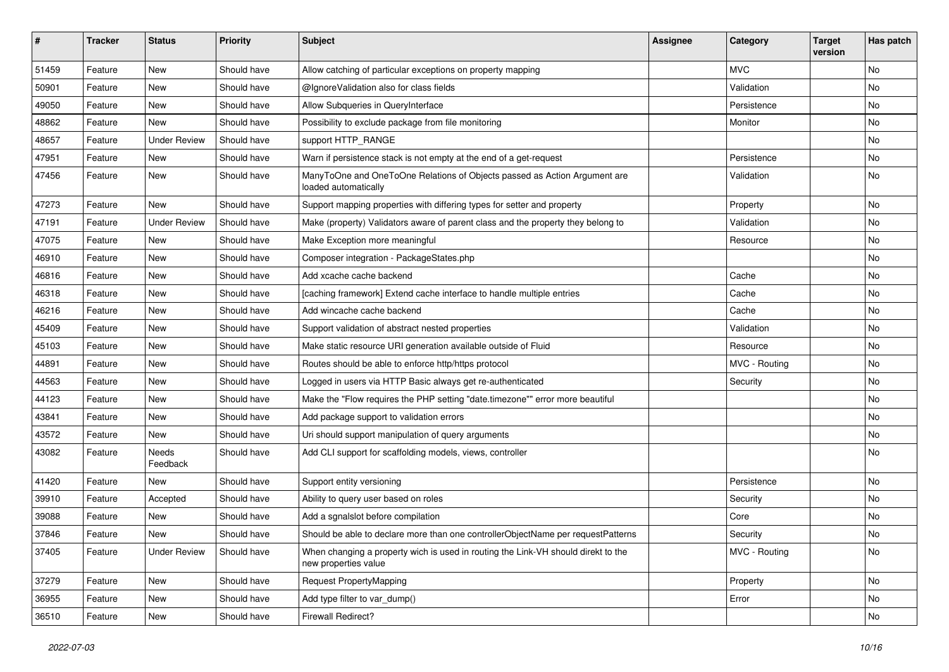| #     | <b>Tracker</b> | <b>Status</b>       | <b>Priority</b> | Subject                                                                                                   | Assignee | Category      | <b>Target</b><br>version | Has patch |
|-------|----------------|---------------------|-----------------|-----------------------------------------------------------------------------------------------------------|----------|---------------|--------------------------|-----------|
| 51459 | Feature        | New                 | Should have     | Allow catching of particular exceptions on property mapping                                               |          | <b>MVC</b>    |                          | No        |
| 50901 | Feature        | New                 | Should have     | @IgnoreValidation also for class fields                                                                   |          | Validation    |                          | No        |
| 49050 | Feature        | New                 | Should have     | Allow Subqueries in QueryInterface                                                                        |          | Persistence   |                          | No        |
| 48862 | Feature        | <b>New</b>          | Should have     | Possibility to exclude package from file monitoring                                                       |          | Monitor       |                          | No        |
| 48657 | Feature        | <b>Under Review</b> | Should have     | support HTTP_RANGE                                                                                        |          |               |                          | No        |
| 47951 | Feature        | New                 | Should have     | Warn if persistence stack is not empty at the end of a get-request                                        |          | Persistence   |                          | No        |
| 47456 | Feature        | New                 | Should have     | ManyToOne and OneToOne Relations of Objects passed as Action Argument are<br>loaded automatically         |          | Validation    |                          | No        |
| 47273 | Feature        | New                 | Should have     | Support mapping properties with differing types for setter and property                                   |          | Property      |                          | No        |
| 47191 | Feature        | <b>Under Review</b> | Should have     | Make (property) Validators aware of parent class and the property they belong to                          |          | Validation    |                          | No        |
| 47075 | Feature        | New                 | Should have     | Make Exception more meaningful                                                                            |          | Resource      |                          | No        |
| 46910 | Feature        | New                 | Should have     | Composer integration - PackageStates.php                                                                  |          |               |                          | No        |
| 46816 | Feature        | New                 | Should have     | Add xcache cache backend                                                                                  |          | Cache         |                          | No        |
| 46318 | Feature        | New                 | Should have     | [caching framework] Extend cache interface to handle multiple entries                                     |          | Cache         |                          | No        |
| 46216 | Feature        | New                 | Should have     | Add wincache cache backend                                                                                |          | Cache         |                          | No        |
| 45409 | Feature        | New                 | Should have     | Support validation of abstract nested properties                                                          |          | Validation    |                          | No        |
| 45103 | Feature        | New                 | Should have     | Make static resource URI generation available outside of Fluid                                            |          | Resource      |                          | No        |
| 44891 | Feature        | New                 | Should have     | Routes should be able to enforce http/https protocol                                                      |          | MVC - Routing |                          | No        |
| 44563 | Feature        | New                 | Should have     | Logged in users via HTTP Basic always get re-authenticated                                                |          | Security      |                          | <b>No</b> |
| 44123 | Feature        | New                 | Should have     | Make the "Flow requires the PHP setting "date.timezone"" error more beautiful                             |          |               |                          | No        |
| 43841 | Feature        | New                 | Should have     | Add package support to validation errors                                                                  |          |               |                          | No        |
| 43572 | Feature        | New                 | Should have     | Uri should support manipulation of query arguments                                                        |          |               |                          | No        |
| 43082 | Feature        | Needs<br>Feedback   | Should have     | Add CLI support for scaffolding models, views, controller                                                 |          |               |                          | No        |
| 41420 | Feature        | New                 | Should have     | Support entity versioning                                                                                 |          | Persistence   |                          | No        |
| 39910 | Feature        | Accepted            | Should have     | Ability to query user based on roles                                                                      |          | Security      |                          | No        |
| 39088 | Feature        | New                 | Should have     | Add a sgnalslot before compilation                                                                        |          | Core          |                          | No        |
| 37846 | Feature        | New                 | Should have     | Should be able to declare more than one controllerObjectName per requestPatterns                          |          | Security      |                          | No        |
| 37405 | Feature        | <b>Under Review</b> | Should have     | When changing a property wich is used in routing the Link-VH should direkt to the<br>new properties value |          | MVC - Routing |                          | No        |
| 37279 | Feature        | New                 | Should have     | <b>Request PropertyMapping</b>                                                                            |          | Property      |                          | No        |
| 36955 | Feature        | New                 | Should have     | Add type filter to var_dump()                                                                             |          | Error         |                          | No        |
| 36510 | Feature        | New                 | Should have     | Firewall Redirect?                                                                                        |          |               |                          | No        |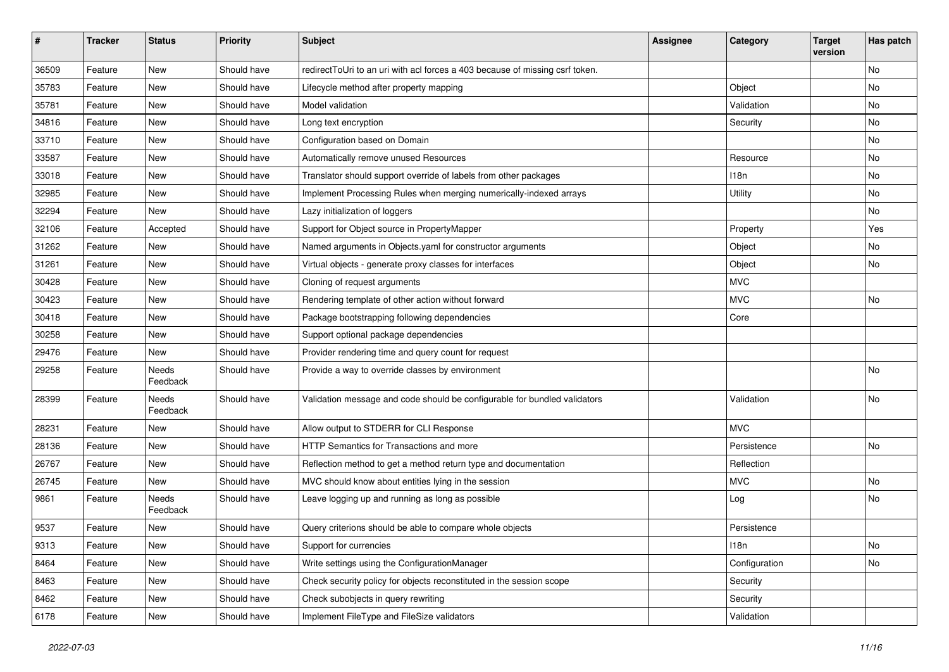| #     | <b>Tracker</b> | <b>Status</b>     | <b>Priority</b> | <b>Subject</b>                                                               | Assignee | Category      | <b>Target</b><br>version | Has patch |
|-------|----------------|-------------------|-----------------|------------------------------------------------------------------------------|----------|---------------|--------------------------|-----------|
| 36509 | Feature        | New               | Should have     | redirectToUri to an uri with acl forces a 403 because of missing csrf token. |          |               |                          | No        |
| 35783 | Feature        | New               | Should have     | Lifecycle method after property mapping                                      |          | Object        |                          | No        |
| 35781 | Feature        | New               | Should have     | Model validation                                                             |          | Validation    |                          | No        |
| 34816 | Feature        | New               | Should have     | Long text encryption                                                         |          | Security      |                          | No        |
| 33710 | Feature        | New               | Should have     | Configuration based on Domain                                                |          |               |                          | No        |
| 33587 | Feature        | New               | Should have     | Automatically remove unused Resources                                        |          | Resource      |                          | No        |
| 33018 | Feature        | New               | Should have     | Translator should support override of labels from other packages             |          | 118n          |                          | No        |
| 32985 | Feature        | New               | Should have     | Implement Processing Rules when merging numerically-indexed arrays           |          | Utility       |                          | No        |
| 32294 | Feature        | New               | Should have     | Lazy initialization of loggers                                               |          |               |                          | No        |
| 32106 | Feature        | Accepted          | Should have     | Support for Object source in PropertyMapper                                  |          | Property      |                          | Yes       |
| 31262 | Feature        | New               | Should have     | Named arguments in Objects.yaml for constructor arguments                    |          | Object        |                          | <b>No</b> |
| 31261 | Feature        | New               | Should have     | Virtual objects - generate proxy classes for interfaces                      |          | Object        |                          | No        |
| 30428 | Feature        | New               | Should have     | Cloning of request arguments                                                 |          | <b>MVC</b>    |                          |           |
| 30423 | Feature        | New               | Should have     | Rendering template of other action without forward                           |          | <b>MVC</b>    |                          | No        |
| 30418 | Feature        | New               | Should have     | Package bootstrapping following dependencies                                 |          | Core          |                          |           |
| 30258 | Feature        | New               | Should have     | Support optional package dependencies                                        |          |               |                          |           |
| 29476 | Feature        | New               | Should have     | Provider rendering time and query count for request                          |          |               |                          |           |
| 29258 | Feature        | Needs<br>Feedback | Should have     | Provide a way to override classes by environment                             |          |               |                          | No        |
| 28399 | Feature        | Needs<br>Feedback | Should have     | Validation message and code should be configurable for bundled validators    |          | Validation    |                          | No        |
| 28231 | Feature        | New               | Should have     | Allow output to STDERR for CLI Response                                      |          | <b>MVC</b>    |                          |           |
| 28136 | Feature        | New               | Should have     | <b>HTTP Semantics for Transactions and more</b>                              |          | Persistence   |                          | No        |
| 26767 | Feature        | New               | Should have     | Reflection method to get a method return type and documentation              |          | Reflection    |                          |           |
| 26745 | Feature        | New               | Should have     | MVC should know about entities lying in the session                          |          | <b>MVC</b>    |                          | No        |
| 9861  | Feature        | Needs<br>Feedback | Should have     | Leave logging up and running as long as possible                             |          | Log           |                          | No        |
| 9537  | Feature        | New               | Should have     | Query criterions should be able to compare whole objects                     |          | Persistence   |                          |           |
| 9313  | Feature        | New               | Should have     | Support for currencies                                                       |          | 118n          |                          | No        |
| 8464  | Feature        | New               | Should have     | Write settings using the ConfigurationManager                                |          | Configuration |                          | No        |
| 8463  | Feature        | New               | Should have     | Check security policy for objects reconstituted in the session scope         |          | Security      |                          |           |
| 8462  | Feature        | New               | Should have     | Check subobjects in query rewriting                                          |          | Security      |                          |           |
| 6178  | Feature        | New               | Should have     | Implement FileType and FileSize validators                                   |          | Validation    |                          |           |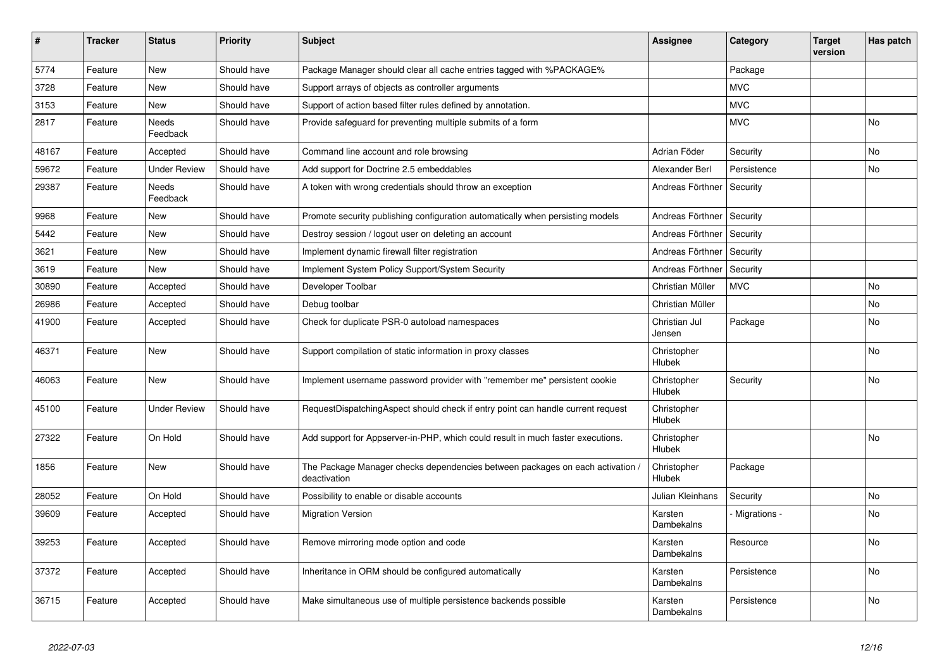| ∦     | <b>Tracker</b> | <b>Status</b>            | <b>Priority</b> | <b>Subject</b>                                                                                | <b>Assignee</b>              | Category       | Target<br>version | Has patch      |
|-------|----------------|--------------------------|-----------------|-----------------------------------------------------------------------------------------------|------------------------------|----------------|-------------------|----------------|
| 5774  | Feature        | <b>New</b>               | Should have     | Package Manager should clear all cache entries tagged with %PACKAGE%                          |                              | Package        |                   |                |
| 3728  | Feature        | <b>New</b>               | Should have     | Support arrays of objects as controller arguments                                             |                              | <b>MVC</b>     |                   |                |
| 3153  | Feature        | <b>New</b>               | Should have     | Support of action based filter rules defined by annotation.                                   |                              | <b>MVC</b>     |                   |                |
| 2817  | Feature        | Needs<br>Feedback        | Should have     | Provide safeguard for preventing multiple submits of a form                                   |                              | <b>MVC</b>     |                   | No             |
| 48167 | Feature        | Accepted                 | Should have     | Command line account and role browsing                                                        | Adrian Föder                 | Security       |                   | No             |
| 59672 | Feature        | <b>Under Review</b>      | Should have     | Add support for Doctrine 2.5 embeddables                                                      | Alexander Berl               | Persistence    |                   | N <sub>o</sub> |
| 29387 | Feature        | <b>Needs</b><br>Feedback | Should have     | A token with wrong credentials should throw an exception                                      | Andreas Förthner             | Security       |                   |                |
| 9968  | Feature        | <b>New</b>               | Should have     | Promote security publishing configuration automatically when persisting models                | Andreas Förthner             | Security       |                   |                |
| 5442  | Feature        | <b>New</b>               | Should have     | Destroy session / logout user on deleting an account                                          | Andreas Förthner             | Security       |                   |                |
| 3621  | Feature        | <b>New</b>               | Should have     | Implement dynamic firewall filter registration                                                | Andreas Förthner             | Security       |                   |                |
| 3619  | Feature        | <b>New</b>               | Should have     | Implement System Policy Support/System Security                                               | Andreas Förthner             | Security       |                   |                |
| 30890 | Feature        | Accepted                 | Should have     | Developer Toolbar                                                                             | Christian Müller             | <b>MVC</b>     |                   | N <sub>o</sub> |
| 26986 | Feature        | Accepted                 | Should have     | Debug toolbar                                                                                 | Christian Müller             |                |                   | No             |
| 41900 | Feature        | Accepted                 | Should have     | Check for duplicate PSR-0 autoload namespaces                                                 | Christian Jul<br>Jensen      | Package        |                   | No             |
| 46371 | Feature        | <b>New</b>               | Should have     | Support compilation of static information in proxy classes                                    | Christopher<br>Hlubek        |                |                   | No             |
| 46063 | Feature        | <b>New</b>               | Should have     | Implement username password provider with "remember me" persistent cookie                     | Christopher<br>Hlubek        | Security       |                   | No             |
| 45100 | Feature        | <b>Under Review</b>      | Should have     | RequestDispatchingAspect should check if entry point can handle current request               | Christopher<br><b>Hlubek</b> |                |                   |                |
| 27322 | Feature        | On Hold                  | Should have     | Add support for Appserver-in-PHP, which could result in much faster executions.               | Christopher<br>Hlubek        |                |                   | <b>No</b>      |
| 1856  | Feature        | <b>New</b>               | Should have     | The Package Manager checks dependencies between packages on each activation .<br>deactivation | Christopher<br><b>Hlubek</b> | Package        |                   |                |
| 28052 | Feature        | On Hold                  | Should have     | Possibility to enable or disable accounts                                                     | Julian Kleinhans             | Security       |                   | No             |
| 39609 | Feature        | Accepted                 | Should have     | <b>Migration Version</b>                                                                      | Karsten<br>Dambekalns        | - Migrations - |                   | No             |
| 39253 | Feature        | Accepted                 | Should have     | Remove mirroring mode option and code                                                         | Karsten<br>Dambekalns        | Resource       |                   | <b>No</b>      |
| 37372 | Feature        | Accepted                 | Should have     | Inheritance in ORM should be configured automatically                                         | Karsten<br>Dambekalns        | Persistence    |                   | No             |
| 36715 | Feature        | Accepted                 | Should have     | Make simultaneous use of multiple persistence backends possible                               | Karsten<br>Dambekalns        | Persistence    |                   | No             |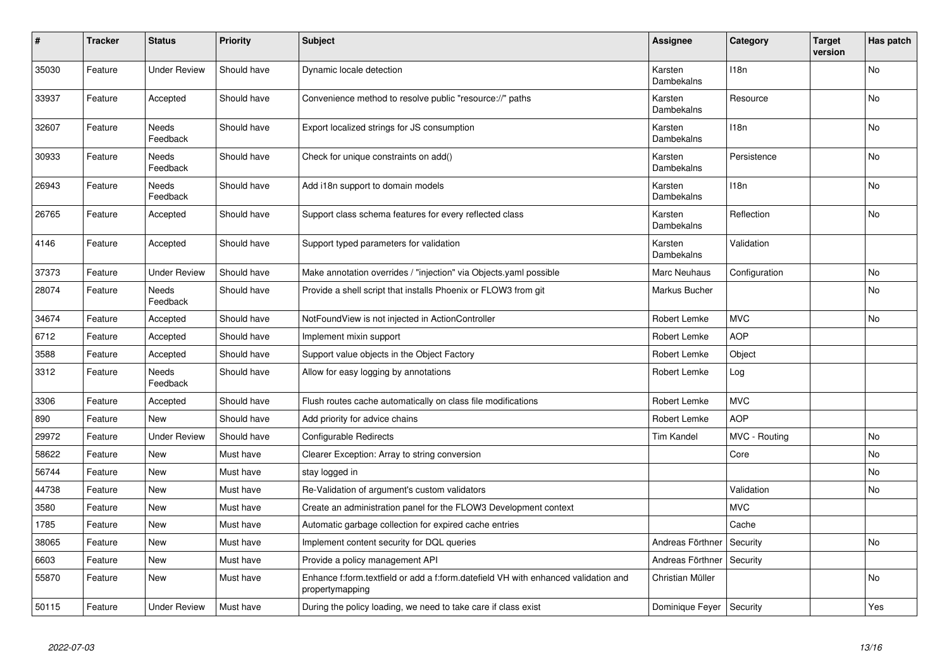| $\vert$ # | <b>Tracker</b> | <b>Status</b>       | <b>Priority</b> | <b>Subject</b>                                                                                        | <b>Assignee</b>       | Category      | <b>Target</b><br>version | Has patch |
|-----------|----------------|---------------------|-----------------|-------------------------------------------------------------------------------------------------------|-----------------------|---------------|--------------------------|-----------|
| 35030     | Feature        | <b>Under Review</b> | Should have     | Dynamic locale detection                                                                              | Karsten<br>Dambekalns | 118n          |                          | <b>No</b> |
| 33937     | Feature        | Accepted            | Should have     | Convenience method to resolve public "resource://" paths                                              | Karsten<br>Dambekalns | Resource      |                          | No        |
| 32607     | Feature        | Needs<br>Feedback   | Should have     | Export localized strings for JS consumption                                                           | Karsten<br>Dambekalns | 118n          |                          | No        |
| 30933     | Feature        | Needs<br>Feedback   | Should have     | Check for unique constraints on add()                                                                 | Karsten<br>Dambekalns | Persistence   |                          | <b>No</b> |
| 26943     | Feature        | Needs<br>Feedback   | Should have     | Add i18n support to domain models                                                                     | Karsten<br>Dambekalns | 118n          |                          | No        |
| 26765     | Feature        | Accepted            | Should have     | Support class schema features for every reflected class                                               | Karsten<br>Dambekalns | Reflection    |                          | No        |
| 4146      | Feature        | Accepted            | Should have     | Support typed parameters for validation                                                               | Karsten<br>Dambekalns | Validation    |                          |           |
| 37373     | Feature        | <b>Under Review</b> | Should have     | Make annotation overrides / "injection" via Objects.yaml possible                                     | Marc Neuhaus          | Configuration |                          | <b>No</b> |
| 28074     | Feature        | Needs<br>Feedback   | Should have     | Provide a shell script that installs Phoenix or FLOW3 from git                                        | Markus Bucher         |               |                          | No        |
| 34674     | Feature        | Accepted            | Should have     | NotFoundView is not injected in ActionController                                                      | Robert Lemke          | <b>MVC</b>    |                          | <b>No</b> |
| 6712      | Feature        | Accepted            | Should have     | Implement mixin support                                                                               | Robert Lemke          | <b>AOP</b>    |                          |           |
| 3588      | Feature        | Accepted            | Should have     | Support value objects in the Object Factory                                                           | Robert Lemke          | Object        |                          |           |
| 3312      | Feature        | Needs<br>Feedback   | Should have     | Allow for easy logging by annotations                                                                 | Robert Lemke          | Log           |                          |           |
| 3306      | Feature        | Accepted            | Should have     | Flush routes cache automatically on class file modifications                                          | Robert Lemke          | <b>MVC</b>    |                          |           |
| 890       | Feature        | <b>New</b>          | Should have     | Add priority for advice chains                                                                        | Robert Lemke          | <b>AOP</b>    |                          |           |
| 29972     | Feature        | <b>Under Review</b> | Should have     | <b>Configurable Redirects</b>                                                                         | <b>Tim Kandel</b>     | MVC - Routing |                          | No        |
| 58622     | Feature        | New                 | Must have       | Clearer Exception: Array to string conversion                                                         |                       | Core          |                          | No        |
| 56744     | Feature        | New                 | Must have       | stay logged in                                                                                        |                       |               |                          | No        |
| 44738     | Feature        | New                 | Must have       | Re-Validation of argument's custom validators                                                         |                       | Validation    |                          | No        |
| 3580      | Feature        | New                 | Must have       | Create an administration panel for the FLOW3 Development context                                      |                       | <b>MVC</b>    |                          |           |
| 1785      | Feature        | <b>New</b>          | Must have       | Automatic garbage collection for expired cache entries                                                |                       | Cache         |                          |           |
| 38065     | Feature        | New                 | Must have       | Implement content security for DQL queries                                                            | Andreas Förthner      | Security      |                          | No        |
| 6603      | Feature        | <b>New</b>          | Must have       | Provide a policy management API                                                                       | Andreas Förthner      | Security      |                          |           |
| 55870     | Feature        | <b>New</b>          | Must have       | Enhance f:form.textfield or add a f:form.datefield VH with enhanced validation and<br>propertymapping | Christian Müller      |               |                          | No        |
| 50115     | Feature        | <b>Under Review</b> | Must have       | During the policy loading, we need to take care if class exist                                        | Dominique Feyer       | Security      |                          | Yes       |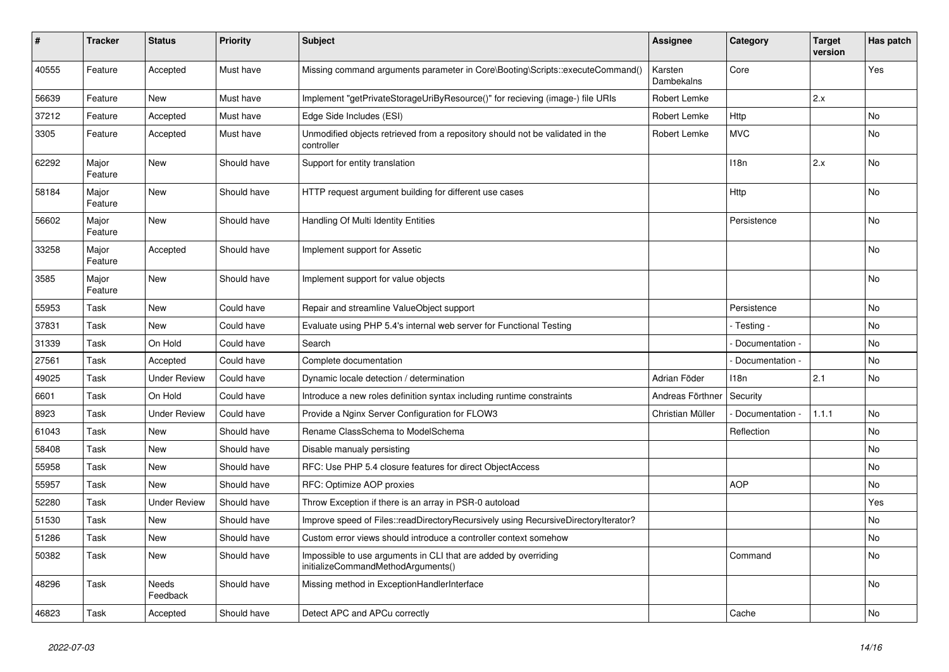| #     | <b>Tracker</b>   | <b>Status</b>       | <b>Priority</b> | <b>Subject</b>                                                                                        | <b>Assignee</b>       | Category        | <b>Target</b><br>version | Has patch      |
|-------|------------------|---------------------|-----------------|-------------------------------------------------------------------------------------------------------|-----------------------|-----------------|--------------------------|----------------|
| 40555 | Feature          | Accepted            | Must have       | Missing command arguments parameter in Core\Booting\Scripts::executeCommand()                         | Karsten<br>Dambekalns | Core            |                          | Yes            |
| 56639 | Feature          | <b>New</b>          | Must have       | Implement "getPrivateStorageUriByResource()" for recieving (image-) file URIs                         | Robert Lemke          |                 | 2.x                      |                |
| 37212 | Feature          | Accepted            | Must have       | Edge Side Includes (ESI)                                                                              | Robert Lemke          | Http            |                          | <b>No</b>      |
| 3305  | Feature          | Accepted            | Must have       | Unmodified objects retrieved from a repository should not be validated in the<br>controller           | Robert Lemke          | <b>MVC</b>      |                          | <b>No</b>      |
| 62292 | Major<br>Feature | <b>New</b>          | Should have     | Support for entity translation                                                                        |                       | 118n            | 2.x                      | No             |
| 58184 | Major<br>Feature | <b>New</b>          | Should have     | HTTP request argument building for different use cases                                                |                       | Http            |                          | No             |
| 56602 | Major<br>Feature | New                 | Should have     | Handling Of Multi Identity Entities                                                                   |                       | Persistence     |                          | <b>No</b>      |
| 33258 | Major<br>Feature | Accepted            | Should have     | Implement support for Assetic                                                                         |                       |                 |                          | No.            |
| 3585  | Major<br>Feature | <b>New</b>          | Should have     | Implement support for value objects                                                                   |                       |                 |                          | No             |
| 55953 | Task             | <b>New</b>          | Could have      | Repair and streamline ValueObject support                                                             |                       | Persistence     |                          | <b>No</b>      |
| 37831 | Task             | <b>New</b>          | Could have      | Evaluate using PHP 5.4's internal web server for Functional Testing                                   |                       | - Testing -     |                          | No             |
| 31339 | Task             | On Hold             | Could have      | Search                                                                                                |                       | Documentation - |                          | No             |
| 27561 | Task             | Accepted            | Could have      | Complete documentation                                                                                |                       | Documentation   |                          | No             |
| 49025 | Task             | <b>Under Review</b> | Could have      | Dynamic locale detection / determination                                                              | Adrian Föder          | 118n            | 2.1                      | N <sub>o</sub> |
| 6601  | Task             | On Hold             | Could have      | Introduce a new roles definition syntax including runtime constraints                                 | Andreas Förthner      | Security        |                          |                |
| 8923  | Task             | <b>Under Review</b> | Could have      | Provide a Nginx Server Configuration for FLOW3                                                        | Christian Müller      | Documentation - | 1.1.1                    | N <sub>o</sub> |
| 61043 | Task             | <b>New</b>          | Should have     | Rename ClassSchema to ModelSchema                                                                     |                       | Reflection      |                          | <b>No</b>      |
| 58408 | Task             | <b>New</b>          | Should have     | Disable manualy persisting                                                                            |                       |                 |                          | No.            |
| 55958 | Task             | <b>New</b>          | Should have     | RFC: Use PHP 5.4 closure features for direct ObjectAccess                                             |                       |                 |                          | No.            |
| 55957 | Task             | <b>New</b>          | Should have     | RFC: Optimize AOP proxies                                                                             |                       | <b>AOP</b>      |                          | No             |
| 52280 | Task             | <b>Under Review</b> | Should have     | Throw Exception if there is an array in PSR-0 autoload                                                |                       |                 |                          | Yes            |
| 51530 | Task             | New                 | Should have     | Improve speed of Files::readDirectoryRecursively using RecursiveDirectoryIterator?                    |                       |                 |                          | No             |
| 51286 | Task             | <b>New</b>          | Should have     | Custom error views should introduce a controller context somehow                                      |                       |                 |                          | No             |
| 50382 | Task             | <b>New</b>          | Should have     | Impossible to use arguments in CLI that are added by overriding<br>initializeCommandMethodArguments() |                       | Command         |                          | No             |
| 48296 | Task             | Needs<br>Feedback   | Should have     | Missing method in ExceptionHandlerInterface                                                           |                       |                 |                          | No             |
| 46823 | Task             | Accepted            | Should have     | Detect APC and APCu correctly                                                                         |                       | Cache           |                          | No             |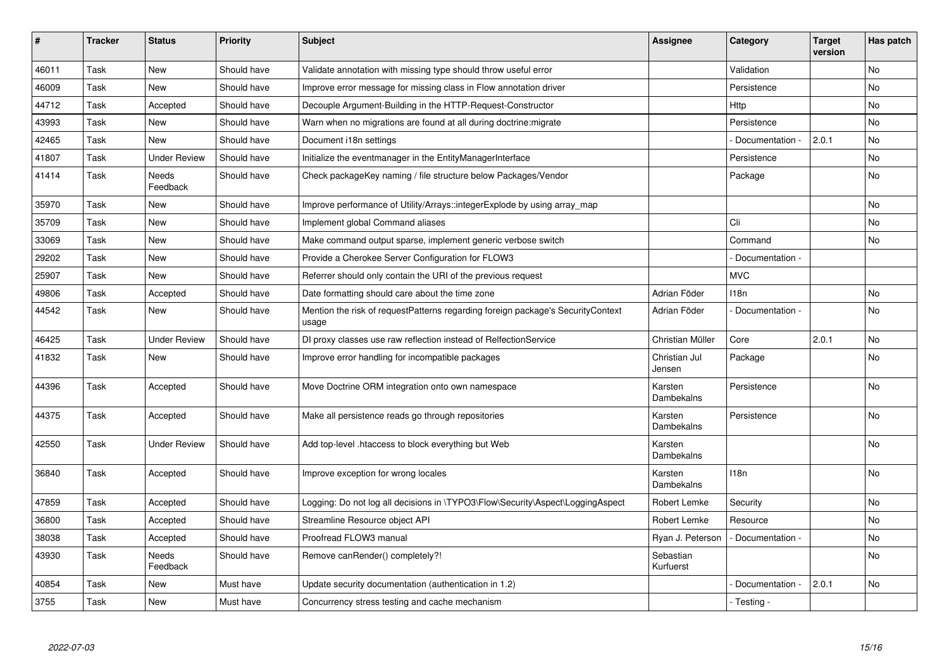| #     | <b>Tracker</b> | <b>Status</b>            | <b>Priority</b> | <b>Subject</b>                                                                           | <b>Assignee</b>         | Category         | <b>Target</b><br>version | Has patch      |
|-------|----------------|--------------------------|-----------------|------------------------------------------------------------------------------------------|-------------------------|------------------|--------------------------|----------------|
| 46011 | Task           | <b>New</b>               | Should have     | Validate annotation with missing type should throw useful error                          |                         | Validation       |                          | No.            |
| 46009 | Task           | <b>New</b>               | Should have     | Improve error message for missing class in Flow annotation driver                        |                         | Persistence      |                          | No             |
| 44712 | Task           | Accepted                 | Should have     | Decouple Argument-Building in the HTTP-Request-Constructor                               |                         | Http             |                          | <b>No</b>      |
| 43993 | Task           | New                      | Should have     | Warn when no migrations are found at all during doctrine: migrate                        |                         | Persistence      |                          | <b>No</b>      |
| 42465 | Task           | <b>New</b>               | Should have     | Document i18n settings                                                                   |                         | Documentation -  | 2.0.1                    | <b>No</b>      |
| 41807 | Task           | <b>Under Review</b>      | Should have     | Initialize the eventmanager in the EntityManagerInterface                                |                         | Persistence      |                          | N <sub>o</sub> |
| 41414 | Task           | Needs<br>Feedback        | Should have     | Check packageKey naming / file structure below Packages/Vendor                           |                         | Package          |                          | No             |
| 35970 | Task           | <b>New</b>               | Should have     | Improve performance of Utility/Arrays::integerExplode by using array_map                 |                         |                  |                          | No             |
| 35709 | Task           | <b>New</b>               | Should have     | Implement global Command aliases                                                         |                         | Cli              |                          | N <sub>o</sub> |
| 33069 | Task           | <b>New</b>               | Should have     | Make command output sparse, implement generic verbose switch                             |                         | Command          |                          | <b>No</b>      |
| 29202 | Task           | New                      | Should have     | Provide a Cherokee Server Configuration for FLOW3                                        |                         | Documentation -  |                          |                |
| 25907 | Task           | <b>New</b>               | Should have     | Referrer should only contain the URI of the previous request                             |                         | <b>MVC</b>       |                          |                |
| 49806 | Task           | Accepted                 | Should have     | Date formatting should care about the time zone                                          | Adrian Föder            | 118 <sub>n</sub> |                          | No             |
| 44542 | Task           | <b>New</b>               | Should have     | Mention the risk of requestPatterns regarding foreign package's SecurityContext<br>usage | Adrian Föder            | Documentation -  |                          | <b>No</b>      |
| 46425 | Task           | <b>Under Review</b>      | Should have     | DI proxy classes use raw reflection instead of RelfectionService                         | Christian Müller        | Core             | 2.0.1                    | No             |
| 41832 | Task           | <b>New</b>               | Should have     | Improve error handling for incompatible packages                                         | Christian Jul<br>Jensen | Package          |                          | <b>No</b>      |
| 44396 | Task           | Accepted                 | Should have     | Move Doctrine ORM integration onto own namespace                                         | Karsten<br>Dambekalns   | Persistence      |                          | No             |
| 44375 | Task           | Accepted                 | Should have     | Make all persistence reads go through repositories                                       | Karsten<br>Dambekalns   | Persistence      |                          | No             |
| 42550 | Task           | <b>Under Review</b>      | Should have     | Add top-level .htaccess to block everything but Web                                      | Karsten<br>Dambekalns   |                  |                          | No             |
| 36840 | Task           | Accepted                 | Should have     | Improve exception for wrong locales                                                      | Karsten<br>Dambekalns   | 118n             |                          | <b>No</b>      |
| 47859 | Task           | Accepted                 | Should have     | Logging: Do not log all decisions in \TYPO3\Flow\Security\Aspect\LoggingAspect           | Robert Lemke            | Security         |                          | No             |
| 36800 | Task           | Accepted                 | Should have     | Streamline Resource object API                                                           | Robert Lemke            | Resource         |                          | No             |
| 38038 | Task           | Accepted                 | Should have     | Proofread FLOW3 manual                                                                   | Ryan J. Peterson        | Documentation -  |                          | No             |
| 43930 | Task           | <b>Needs</b><br>Feedback | Should have     | Remove canRender() completely?!                                                          | Sebastian<br>Kurfuerst  |                  |                          | <b>No</b>      |
| 40854 | Task           | New                      | Must have       | Update security documentation (authentication in 1.2)                                    |                         | Documentation -  | 2.0.1                    | No             |
| 3755  | Task           | <b>New</b>               | Must have       | Concurrency stress testing and cache mechanism                                           |                         | - Testing -      |                          |                |